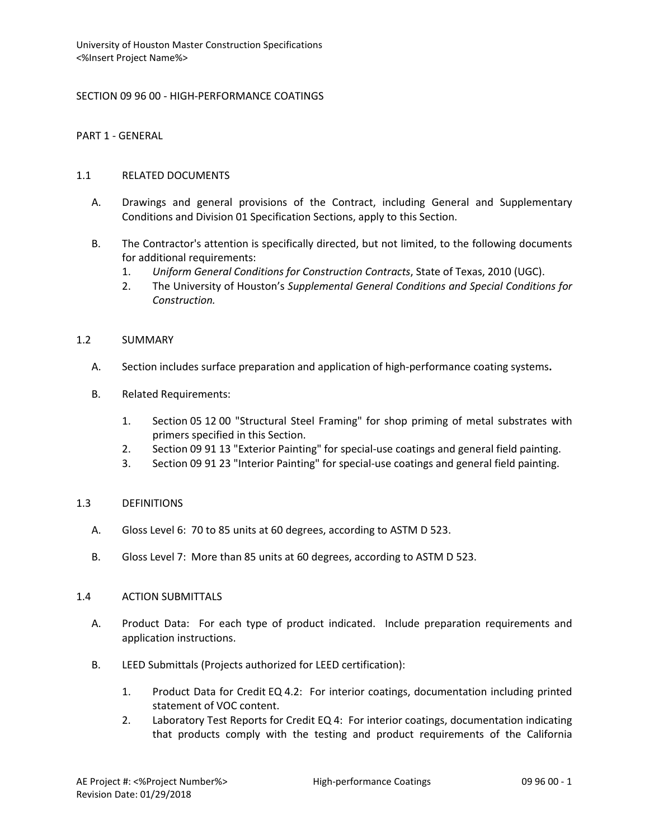SECTION 09 96 00 - HIGH-PERFORMANCE COATINGS

PART 1 - GENERAL

# 1.1 RELATED DOCUMENTS

- A. Drawings and general provisions of the Contract, including General and Supplementary Conditions and Division 01 Specification Sections, apply to this Section.
- B. The Contractor's attention is specifically directed, but not limited, to the following documents for additional requirements:
	- 1. *Uniform General Conditions for Construction Contracts*, State of Texas, 2010 (UGC).
	- 2. The University of Houston's *Supplemental General Conditions and Special Conditions for Construction.*

# 1.2 SUMMARY

- A. Section includes surface preparation and application of high-performance coating systems**.**
- B. Related Requirements:
	- 1. Section 05 12 00 "Structural Steel Framing" for shop priming of metal substrates with primers specified in this Section.
	- 2. Section 09 91 13 "Exterior Painting" for special-use coatings and general field painting.
	- 3. Section 09 91 23 "Interior Painting" for special-use coatings and general field painting.

# 1.3 DEFINITIONS

- A. Gloss Level 6: 70 to 85 units at 60 degrees, according to ASTM D 523.
- B. Gloss Level 7: More than 85 units at 60 degrees, according to ASTM D 523.

# 1.4 ACTION SUBMITTALS

- A. Product Data: For each type of product indicated. Include preparation requirements and application instructions.
- B. LEED Submittals (Projects authorized for LEED certification):
	- 1. Product Data for Credit EQ 4.2: For interior coatings, documentation including printed statement of VOC content.
	- 2. Laboratory Test Reports for Credit EQ 4: For interior coatings, documentation indicating that products comply with the testing and product requirements of the California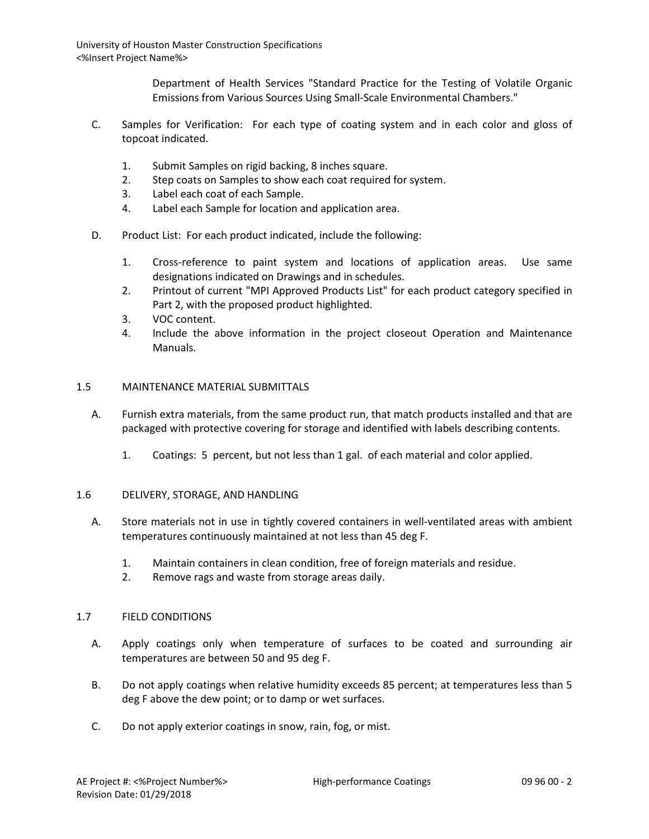> Department of Health Services "Standard Practice for the Testing of Volatile Organic Emissions from Various Sources Using Small-Scale Environmental Chambers."

- C. Samples for Verification: For each type of coating system and in each color and gloss of topcoat indicated.
	- 1. Submit Samples on rigid backing, 8 inches square.
	- 2. Step coats on Samples to show each coat required for system.
	- 3. Label each coat of each Sample.
	- 4. Label each Sample for location and application area.
- D. Product List: For each product indicated, include the following:
	- 1. Cross-reference to paint system and locations of application areas. Use same designations indicated on Drawings and in schedules.
	- 2. Printout of current "MPI Approved Products List" for each product category specified in Part 2, with the proposed product highlighted.
	- 3. VOC content.
	- 4. Include the above information in the project closeout Operation and Maintenance Manuals.

#### 1.5 MAINTENANCE MATERIAL SUBMITTALS

- A. Furnish extra materials, from the same product run, that match products installed and that are packaged with protective covering for storage and identified with labels describing contents.
	- 1. Coatings: 5 percent, but not less than 1 gal. of each material and color applied.

#### 1.6 DELIVERY, STORAGE, AND HANDLING

- A. Store materials not in use in tightly covered containers in well-ventilated areas with ambient temperatures continuously maintained at not less than 45 deg F.
	- 1. Maintain containers in clean condition, free of foreign materials and residue.
	- 2. Remove rags and waste from storage areas daily.

#### 1.7 FIELD CONDITIONS

- A. Apply coatings only when temperature of surfaces to be coated and surrounding air temperatures are between 50 and 95 deg F.
- B. Do not apply coatings when relative humidity exceeds 85 percent; at temperatures less than 5 deg F above the dew point; or to damp or wet surfaces.
- C. Do not apply exterior coatings in snow, rain, fog, or mist.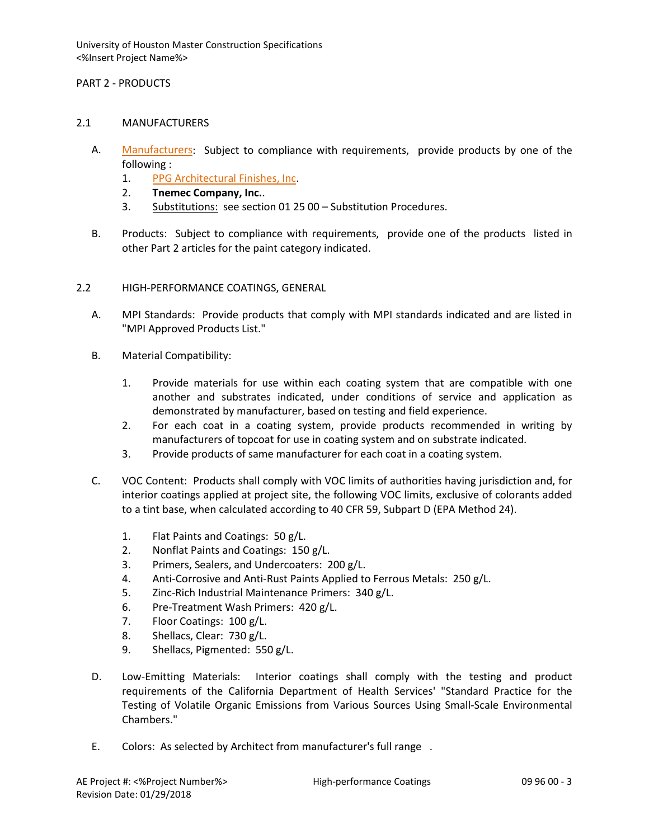# PART 2 - PRODUCTS

#### 2.1 MANUFACTURERS

- A. [Manufacturers:](http://www.specagent.com/LookUp/?ulid=548&mf=04&src=wd) Subject to compliance with requirements, provide products by one of the following :
	- 1. [PPG Architectural Finishes, Inc.](http://www.specagent.com/LookUp/?uid=123456791035&mf=04&src=wd)
	- 2. **Tnemec Company, Inc.**.
	- 3. Substitutions: see section 01 25 00 Substitution Procedures.
- B. Products: Subject to compliance with requirements, provide one of the products listed in other Part 2 articles for the paint category indicated.
- 2.2 HIGH-PERFORMANCE COATINGS, GENERAL
	- A. MPI Standards: Provide products that comply with MPI standards indicated and are listed in "MPI Approved Products List."
	- B. Material Compatibility:
		- 1. Provide materials for use within each coating system that are compatible with one another and substrates indicated, under conditions of service and application as demonstrated by manufacturer, based on testing and field experience.
		- 2. For each coat in a coating system, provide products recommended in writing by manufacturers of topcoat for use in coating system and on substrate indicated.
		- 3. Provide products of same manufacturer for each coat in a coating system.
	- C. VOC Content: Products shall comply with VOC limits of authorities having jurisdiction and, for interior coatings applied at project site, the following VOC limits, exclusive of colorants added to a tint base, when calculated according to 40 CFR 59, Subpart D (EPA Method 24).
		- 1. Flat Paints and Coatings: 50 g/L.
		- 2. Nonflat Paints and Coatings: 150 g/L.
		- 3. Primers, Sealers, and Undercoaters: 200 g/L.
		- 4. Anti-Corrosive and Anti-Rust Paints Applied to Ferrous Metals: 250 g/L.
		- 5. Zinc-Rich Industrial Maintenance Primers: 340 g/L.
		- 6. Pre-Treatment Wash Primers: 420 g/L.
		- 7. Floor Coatings: 100 g/L.
		- 8. Shellacs, Clear: 730 g/L.
		- 9. Shellacs, Pigmented: 550 g/L.
	- D. Low-Emitting Materials: Interior coatings shall comply with the testing and product requirements of the California Department of Health Services' "Standard Practice for the Testing of Volatile Organic Emissions from Various Sources Using Small-Scale Environmental Chambers."
	- E. Colors: As selected by Architect from manufacturer's full range .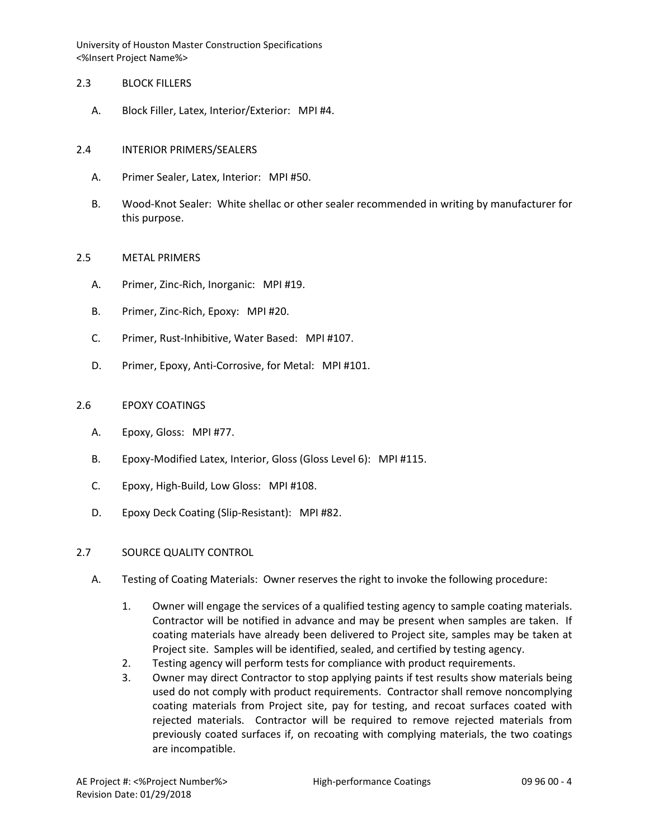#### 2.3 BLOCK FILLERS

A. Block Filler, Latex, Interior/Exterior: MPI #4.

# 2.4 INTERIOR PRIMERS/SEALERS

- A. Primer Sealer, Latex, Interior: MPI #50.
- B. Wood-Knot Sealer: White shellac or other sealer recommended in writing by manufacturer for this purpose.

#### 2.5 METAL PRIMERS

- A. Primer, Zinc-Rich, Inorganic: MPI #19.
- B. Primer, Zinc-Rich, Epoxy: MPI #20.
- C. Primer, Rust-Inhibitive, Water Based: MPI #107.
- D. Primer, Epoxy, Anti-Corrosive, for Metal: MPI #101.

# 2.6 EPOXY COATINGS

- A. Epoxy, Gloss: MPI #77.
- B. Epoxy-Modified Latex, Interior, Gloss (Gloss Level 6): MPI #115.
- C. Epoxy, High-Build, Low Gloss: MPI #108.
- D. Epoxy Deck Coating (Slip-Resistant): MPI #82.

# 2.7 SOURCE QUALITY CONTROL

- A. Testing of Coating Materials: Owner reserves the right to invoke the following procedure:
	- 1. Owner will engage the services of a qualified testing agency to sample coating materials. Contractor will be notified in advance and may be present when samples are taken. If coating materials have already been delivered to Project site, samples may be taken at Project site. Samples will be identified, sealed, and certified by testing agency.
	- 2. Testing agency will perform tests for compliance with product requirements.
	- 3. Owner may direct Contractor to stop applying paints if test results show materials being used do not comply with product requirements. Contractor shall remove noncomplying coating materials from Project site, pay for testing, and recoat surfaces coated with rejected materials. Contractor will be required to remove rejected materials from previously coated surfaces if, on recoating with complying materials, the two coatings are incompatible.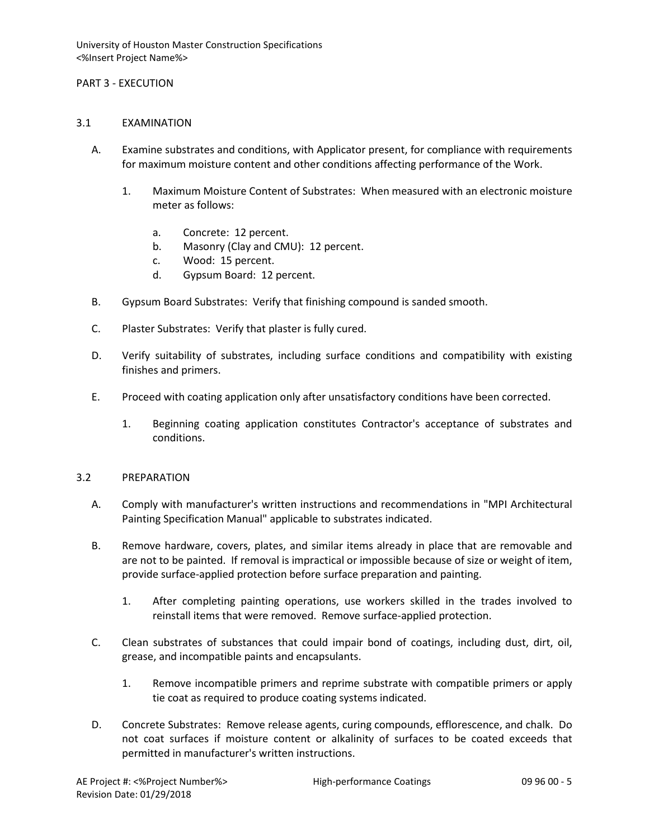#### PART 3 - EXECUTION

#### 3.1 EXAMINATION

- A. Examine substrates and conditions, with Applicator present, for compliance with requirements for maximum moisture content and other conditions affecting performance of the Work.
	- 1. Maximum Moisture Content of Substrates: When measured with an electronic moisture meter as follows:
		- a. Concrete: 12 percent.
		- b. Masonry (Clay and CMU): 12 percent.
		- c. Wood: 15 percent.
		- d. Gypsum Board: 12 percent.
- B. Gypsum Board Substrates: Verify that finishing compound is sanded smooth.
- C. Plaster Substrates: Verify that plaster is fully cured.
- D. Verify suitability of substrates, including surface conditions and compatibility with existing finishes and primers.
- E. Proceed with coating application only after unsatisfactory conditions have been corrected.
	- 1. Beginning coating application constitutes Contractor's acceptance of substrates and conditions.

#### 3.2 PREPARATION

- A. Comply with manufacturer's written instructions and recommendations in "MPI Architectural Painting Specification Manual" applicable to substrates indicated.
- B. Remove hardware, covers, plates, and similar items already in place that are removable and are not to be painted. If removal is impractical or impossible because of size or weight of item, provide surface-applied protection before surface preparation and painting.
	- 1. After completing painting operations, use workers skilled in the trades involved to reinstall items that were removed. Remove surface-applied protection.
- C. Clean substrates of substances that could impair bond of coatings, including dust, dirt, oil, grease, and incompatible paints and encapsulants.
	- 1. Remove incompatible primers and reprime substrate with compatible primers or apply tie coat as required to produce coating systems indicated.
- D. Concrete Substrates: Remove release agents, curing compounds, efflorescence, and chalk. Do not coat surfaces if moisture content or alkalinity of surfaces to be coated exceeds that permitted in manufacturer's written instructions.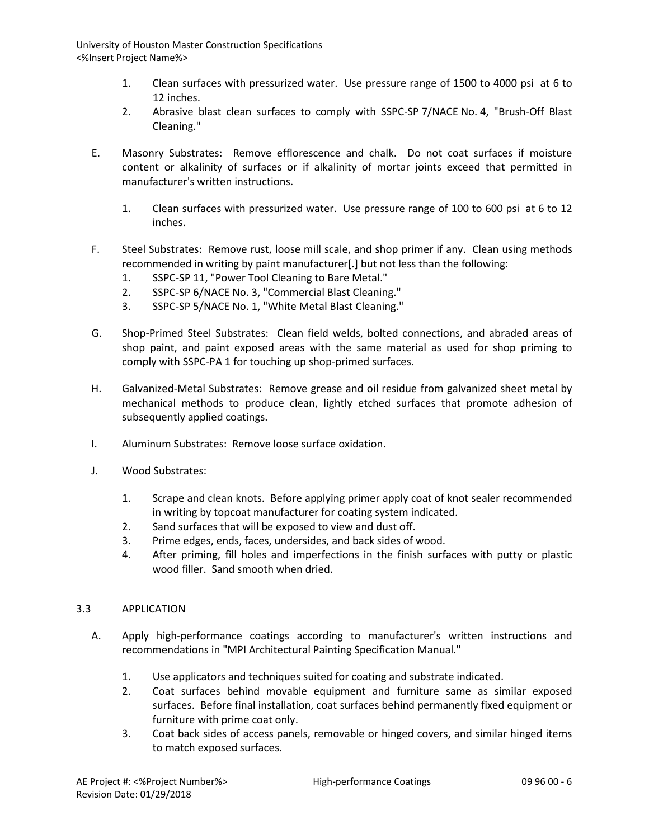- 1. Clean surfaces with pressurized water. Use pressure range of 1500 to 4000 psi at 6 to 12 inches.
- 2. Abrasive blast clean surfaces to comply with SSPC-SP 7/NACE No. 4, "Brush-Off Blast Cleaning."
- E. Masonry Substrates: Remove efflorescence and chalk. Do not coat surfaces if moisture content or alkalinity of surfaces or if alkalinity of mortar joints exceed that permitted in manufacturer's written instructions.
	- 1. Clean surfaces with pressurized water. Use pressure range of 100 to 600 psi at 6 to 12 inches.
- F. Steel Substrates: Remove rust, loose mill scale, and shop primer if any. Clean using methods recommended in writing by paint manufacturer[**.**] but not less than the following:
	- 1. SSPC-SP 11, "Power Tool Cleaning to Bare Metal."
	- 2. SSPC-SP 6/NACE No. 3, "Commercial Blast Cleaning."
	- 3. SSPC-SP 5/NACE No. 1, "White Metal Blast Cleaning."
- G. Shop-Primed Steel Substrates: Clean field welds, bolted connections, and abraded areas of shop paint, and paint exposed areas with the same material as used for shop priming to comply with SSPC-PA 1 for touching up shop-primed surfaces.
- H. Galvanized-Metal Substrates: Remove grease and oil residue from galvanized sheet metal by mechanical methods to produce clean, lightly etched surfaces that promote adhesion of subsequently applied coatings.
- I. Aluminum Substrates: Remove loose surface oxidation.
- J. Wood Substrates:
	- 1. Scrape and clean knots. Before applying primer apply coat of knot sealer recommended in writing by topcoat manufacturer for coating system indicated.
	- 2. Sand surfaces that will be exposed to view and dust off.
	- 3. Prime edges, ends, faces, undersides, and back sides of wood.
	- 4. After priming, fill holes and imperfections in the finish surfaces with putty or plastic wood filler. Sand smooth when dried.

# 3.3 APPLICATION

- A. Apply high-performance coatings according to manufacturer's written instructions and recommendations in "MPI Architectural Painting Specification Manual."
	- 1. Use applicators and techniques suited for coating and substrate indicated.
	- 2. Coat surfaces behind movable equipment and furniture same as similar exposed surfaces. Before final installation, coat surfaces behind permanently fixed equipment or furniture with prime coat only.
	- 3. Coat back sides of access panels, removable or hinged covers, and similar hinged items to match exposed surfaces.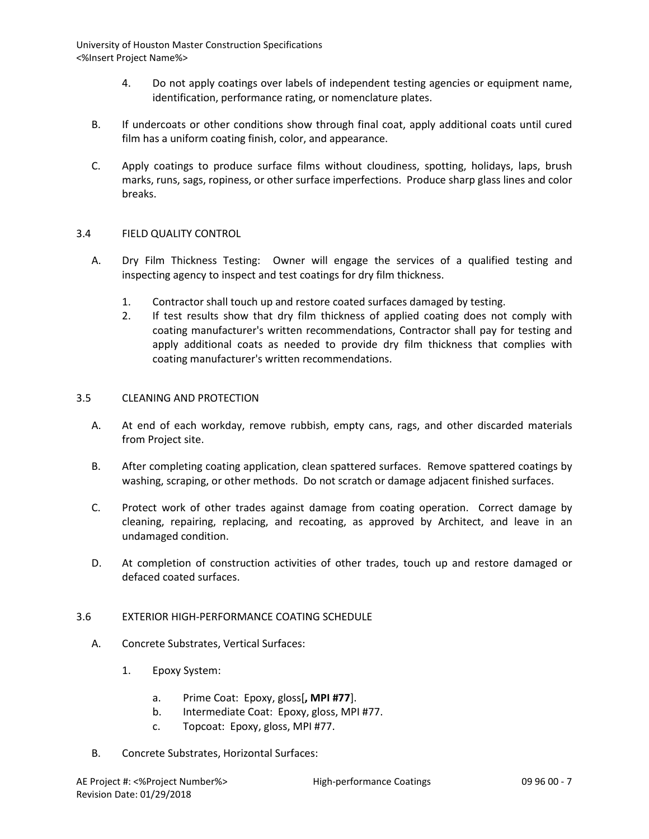- 4. Do not apply coatings over labels of independent testing agencies or equipment name, identification, performance rating, or nomenclature plates.
- B. If undercoats or other conditions show through final coat, apply additional coats until cured film has a uniform coating finish, color, and appearance.
- C. Apply coatings to produce surface films without cloudiness, spotting, holidays, laps, brush marks, runs, sags, ropiness, or other surface imperfections. Produce sharp glass lines and color breaks.

# 3.4 FIELD QUALITY CONTROL

- A. Dry Film Thickness Testing: Owner will engage the services of a qualified testing and inspecting agency to inspect and test coatings for dry film thickness.
	- 1. Contractor shall touch up and restore coated surfaces damaged by testing.
	- 2. If test results show that dry film thickness of applied coating does not comply with coating manufacturer's written recommendations, Contractor shall pay for testing and apply additional coats as needed to provide dry film thickness that complies with coating manufacturer's written recommendations.

#### 3.5 CLEANING AND PROTECTION

- A. At end of each workday, remove rubbish, empty cans, rags, and other discarded materials from Project site.
- B. After completing coating application, clean spattered surfaces. Remove spattered coatings by washing, scraping, or other methods. Do not scratch or damage adjacent finished surfaces.
- C. Protect work of other trades against damage from coating operation. Correct damage by cleaning, repairing, replacing, and recoating, as approved by Architect, and leave in an undamaged condition.
- D. At completion of construction activities of other trades, touch up and restore damaged or defaced coated surfaces.

# 3.6 EXTERIOR HIGH-PERFORMANCE COATING SCHEDULE

- A. Concrete Substrates, Vertical Surfaces:
	- 1. Epoxy System:
		- a. Prime Coat: Epoxy, gloss[**, MPI #77**].
		- b. Intermediate Coat: Epoxy, gloss, MPI #77.
		- c. Topcoat: Epoxy, gloss, MPI #77.
- B. Concrete Substrates, Horizontal Surfaces: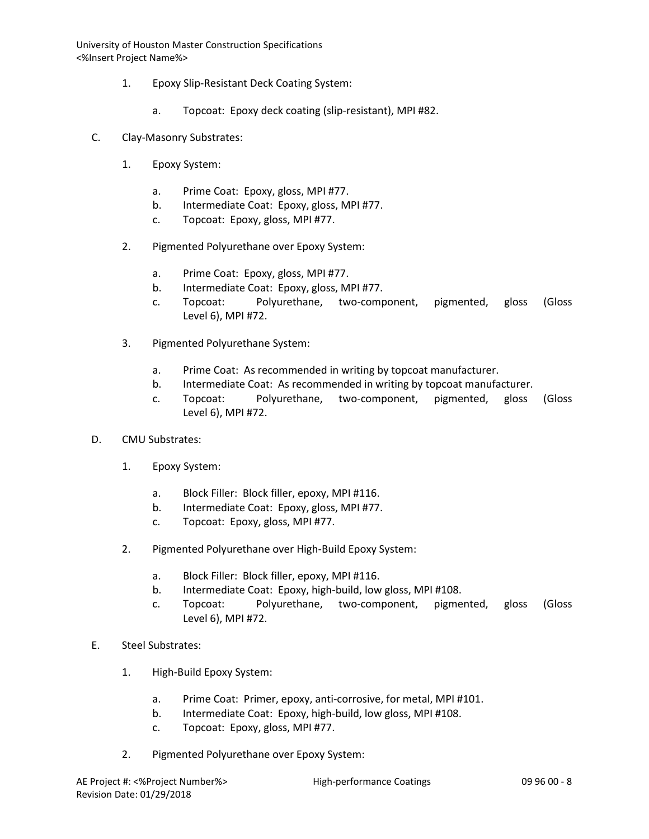- 1. Epoxy Slip-Resistant Deck Coating System:
	- a. Topcoat: Epoxy deck coating (slip-resistant), MPI #82.
- C. Clay-Masonry Substrates:
	- 1. Epoxy System:
		- a. Prime Coat: Epoxy, gloss, MPI #77.
		- b. Intermediate Coat: Epoxy, gloss, MPI #77.
		- c. Topcoat: Epoxy, gloss, MPI #77.
	- 2. Pigmented Polyurethane over Epoxy System:
		- a. Prime Coat: Epoxy, gloss, MPI #77.
		- b. Intermediate Coat: Epoxy, gloss, MPI #77.
		- c. Topcoat: Polyurethane, two-component, pigmented, gloss (Gloss Level 6), MPI #72.
	- 3. Pigmented Polyurethane System:
		- a. Prime Coat: As recommended in writing by topcoat manufacturer.
		- b. Intermediate Coat: As recommended in writing by topcoat manufacturer.
		- c. Topcoat: Polyurethane, two-component, pigmented, gloss (Gloss Level 6), MPI #72.
- D. CMU Substrates:
	- 1. Epoxy System:
		- a. Block Filler: Block filler, epoxy, MPI #116.
		- b. Intermediate Coat: Epoxy, gloss, MPI #77.
		- c. Topcoat: Epoxy, gloss, MPI #77.
	- 2. Pigmented Polyurethane over High-Build Epoxy System:
		- a. Block Filler: Block filler, epoxy, MPI #116.
		- b. Intermediate Coat: Epoxy, high-build, low gloss, MPI #108.
		- c. Topcoat: Polyurethane, two-component, pigmented, gloss (Gloss Level 6), MPI #72.
- E. Steel Substrates:
	- 1. High-Build Epoxy System:
		- a. Prime Coat: Primer, epoxy, anti-corrosive, for metal, MPI #101.
		- b. Intermediate Coat: Epoxy, high-build, low gloss, MPI #108.
		- c. Topcoat: Epoxy, gloss, MPI #77.
	- 2. Pigmented Polyurethane over Epoxy System: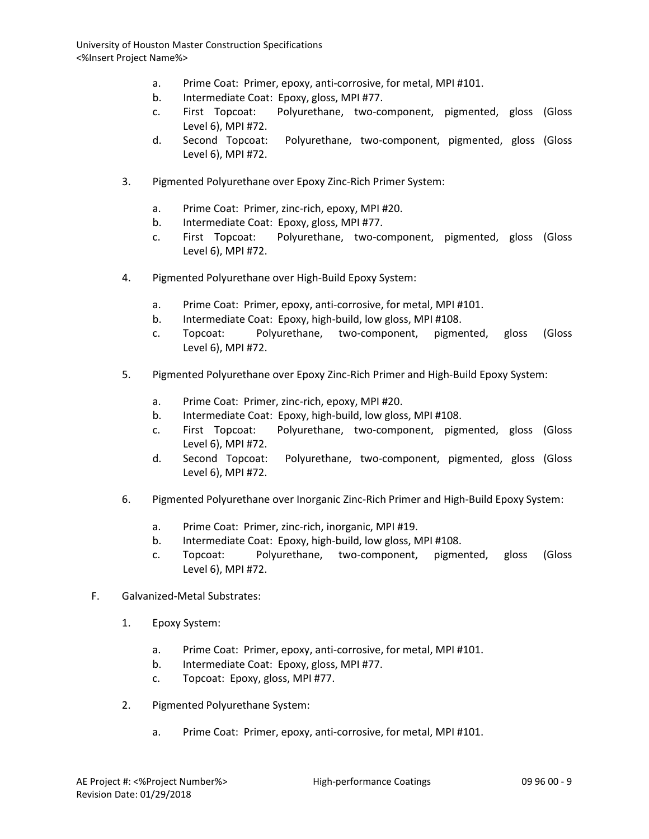- a. Prime Coat: Primer, epoxy, anti-corrosive, for metal, MPI #101.
- b. Intermediate Coat: Epoxy, gloss, MPI #77.
- c. First Topcoat: Polyurethane, two-component, pigmented, gloss (Gloss Level 6), MPI #72.
- d. Second Topcoat: Polyurethane, two-component, pigmented, gloss (Gloss Level 6), MPI #72.
- 3. Pigmented Polyurethane over Epoxy Zinc-Rich Primer System:
	- a. Prime Coat: Primer, zinc-rich, epoxy, MPI #20.
	- b. Intermediate Coat: Epoxy, gloss, MPI #77.
	- c. First Topcoat: Polyurethane, two-component, pigmented, gloss (Gloss Level 6), MPI #72.
- 4. Pigmented Polyurethane over High-Build Epoxy System:
	- a. Prime Coat: Primer, epoxy, anti-corrosive, for metal, MPI #101.
	- b. Intermediate Coat: Epoxy, high-build, low gloss, MPI #108.
	- c. Topcoat: Polyurethane, two-component, pigmented, gloss (Gloss Level 6), MPI #72.
- 5. Pigmented Polyurethane over Epoxy Zinc-Rich Primer and High-Build Epoxy System:
	- a. Prime Coat: Primer, zinc-rich, epoxy, MPI #20.
	- b. Intermediate Coat: Epoxy, high-build, low gloss, MPI #108.
	- c. First Topcoat: Polyurethane, two-component, pigmented, gloss (Gloss Level 6), MPI #72.
	- d. Second Topcoat: Polyurethane, two-component, pigmented, gloss (Gloss Level 6), MPI #72.
- 6. Pigmented Polyurethane over Inorganic Zinc-Rich Primer and High-Build Epoxy System:
	- a. Prime Coat: Primer, zinc-rich, inorganic, MPI #19.
	- b. Intermediate Coat: Epoxy, high-build, low gloss, MPI #108.
	- c. Topcoat: Polyurethane, two-component, pigmented, gloss (Gloss Level 6), MPI #72.
- F. Galvanized-Metal Substrates:
	- 1. Epoxy System:
		- a. Prime Coat: Primer, epoxy, anti-corrosive, for metal, MPI #101.
		- b. Intermediate Coat: Epoxy, gloss, MPI #77.
		- c. Topcoat: Epoxy, gloss, MPI #77.
	- 2. Pigmented Polyurethane System:
		- a. Prime Coat: Primer, epoxy, anti-corrosive, for metal, MPI #101.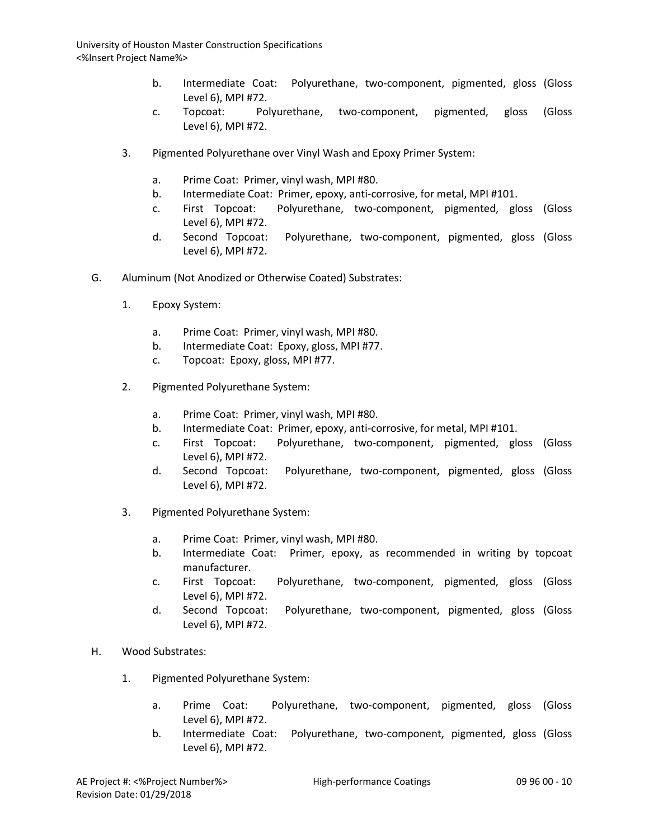- b. Intermediate Coat: Polyurethane, two-component, pigmented, gloss (Gloss Level 6), MPI #72.
- c. Topcoat: Polyurethane, two-component, pigmented, gloss (Gloss Level 6), MPI #72.
- 3. Pigmented Polyurethane over Vinyl Wash and Epoxy Primer System:
	- a. Prime Coat: Primer, vinyl wash, MPI #80.
	- b. Intermediate Coat: Primer, epoxy, anti-corrosive, for metal, MPI #101.
	- c. First Topcoat: Polyurethane, two-component, pigmented, gloss (Gloss Level 6), MPI #72.
	- d. Second Topcoat: Polyurethane, two-component, pigmented, gloss (Gloss Level 6), MPI #72.
- G. Aluminum (Not Anodized or Otherwise Coated) Substrates:
	- 1. Epoxy System:
		- a. Prime Coat: Primer, vinyl wash, MPI #80.
		- b. Intermediate Coat: Epoxy, gloss, MPI #77.
		- c. Topcoat: Epoxy, gloss, MPI #77.
	- 2. Pigmented Polyurethane System:
		- a. Prime Coat: Primer, vinyl wash, MPI #80.
		- b. Intermediate Coat: Primer, epoxy, anti-corrosive, for metal, MPI #101.
		- c. First Topcoat: Polyurethane, two-component, pigmented, gloss (Gloss Level 6), MPI #72.
		- d. Second Topcoat: Polyurethane, two-component, pigmented, gloss (Gloss Level 6), MPI #72.
	- 3. Pigmented Polyurethane System:
		- a. Prime Coat: Primer, vinyl wash, MPI #80.
		- b. Intermediate Coat: Primer, epoxy, as recommended in writing by topcoat manufacturer.
		- c. First Topcoat: Polyurethane, two-component, pigmented, gloss (Gloss Level 6), MPI #72.
		- d. Second Topcoat: Polyurethane, two-component, pigmented, gloss (Gloss Level 6), MPI #72.
- H. Wood Substrates:
	- 1. Pigmented Polyurethane System:
		- a. Prime Coat: Polyurethane, two-component, pigmented, gloss (Gloss Level 6), MPI #72.
		- b. Intermediate Coat: Polyurethane, two-component, pigmented, gloss (Gloss Level 6), MPI #72.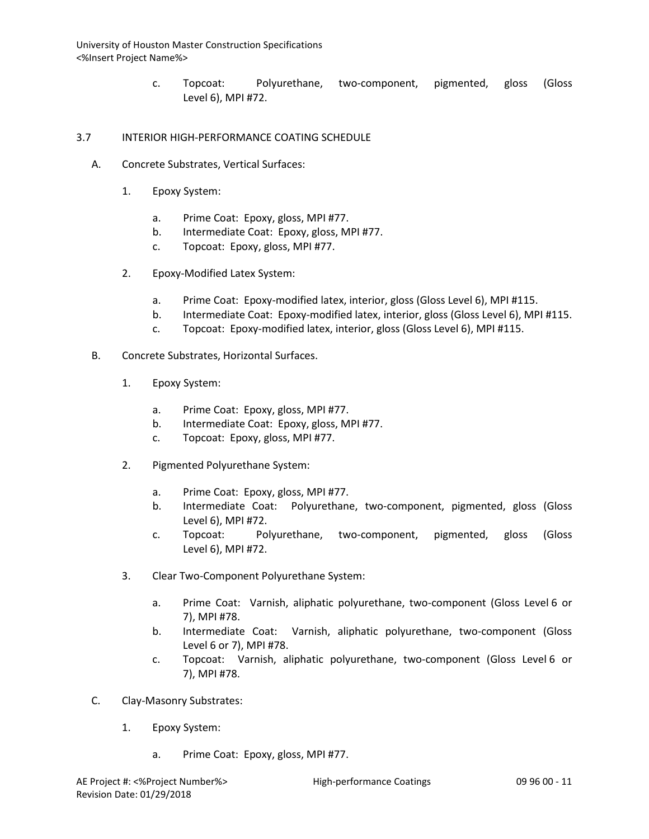> c. Topcoat: Polyurethane, two-component, pigmented, gloss (Gloss Level 6), MPI #72.

## 3.7 INTERIOR HIGH-PERFORMANCE COATING SCHEDULE

- A. Concrete Substrates, Vertical Surfaces:
	- 1. Epoxy System:
		- a. Prime Coat: Epoxy, gloss, MPI #77.
		- b. Intermediate Coat: Epoxy, gloss, MPI #77.
		- c. Topcoat: Epoxy, gloss, MPI #77.
	- 2. Epoxy-Modified Latex System:
		- a. Prime Coat: Epoxy-modified latex, interior, gloss (Gloss Level 6), MPI #115.
		- b. Intermediate Coat: Epoxy-modified latex, interior, gloss (Gloss Level 6), MPI #115.
		- c. Topcoat: Epoxy-modified latex, interior, gloss (Gloss Level 6), MPI #115.
- B. Concrete Substrates, Horizontal Surfaces.
	- 1. Epoxy System:
		- a. Prime Coat: Epoxy, gloss, MPI #77.
		- b. Intermediate Coat: Epoxy, gloss, MPI #77.
		- c. Topcoat: Epoxy, gloss, MPI #77.
	- 2. Pigmented Polyurethane System:
		- a. Prime Coat: Epoxy, gloss, MPI #77.
		- b. Intermediate Coat: Polyurethane, two-component, pigmented, gloss (Gloss Level 6), MPI #72.
		- c. Topcoat: Polyurethane, two-component, pigmented, gloss (Gloss Level 6), MPI #72.
	- 3. Clear Two-Component Polyurethane System:
		- a. Prime Coat: Varnish, aliphatic polyurethane, two-component (Gloss Level 6 or 7), MPI #78.
		- b. Intermediate Coat: Varnish, aliphatic polyurethane, two-component (Gloss Level 6 or 7), MPI #78.
		- c. Topcoat: Varnish, aliphatic polyurethane, two-component (Gloss Level 6 or 7), MPI #78.
- C. Clay-Masonry Substrates:
	- 1. Epoxy System:
		- a. Prime Coat: Epoxy, gloss, MPI #77.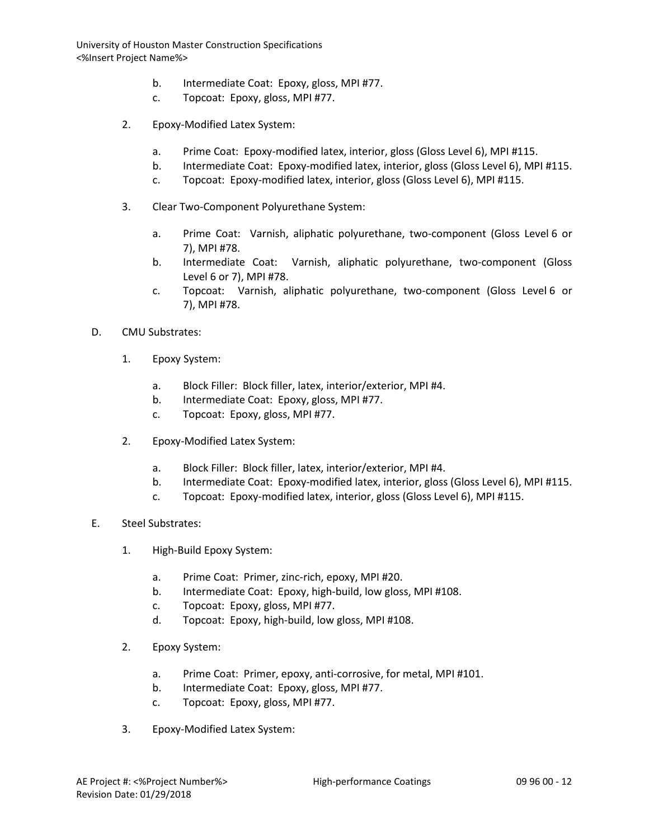- b. Intermediate Coat: Epoxy, gloss, MPI #77.
- c. Topcoat: Epoxy, gloss, MPI #77.
- 2. Epoxy-Modified Latex System:
	- a. Prime Coat: Epoxy-modified latex, interior, gloss (Gloss Level 6), MPI #115.
	- b. Intermediate Coat: Epoxy-modified latex, interior, gloss (Gloss Level 6), MPI #115.
	- c. Topcoat: Epoxy-modified latex, interior, gloss (Gloss Level 6), MPI #115.
- 3. Clear Two-Component Polyurethane System:
	- a. Prime Coat: Varnish, aliphatic polyurethane, two-component (Gloss Level 6 or 7), MPI #78.
	- b. Intermediate Coat: Varnish, aliphatic polyurethane, two-component (Gloss Level 6 or 7), MPI #78.
	- c. Topcoat: Varnish, aliphatic polyurethane, two-component (Gloss Level 6 or 7), MPI #78.
- D. CMU Substrates:
	- 1. Epoxy System:
		- a. Block Filler: Block filler, latex, interior/exterior, MPI #4.
		- b. Intermediate Coat: Epoxy, gloss, MPI #77.
		- c. Topcoat: Epoxy, gloss, MPI #77.
	- 2. Epoxy-Modified Latex System:
		- a. Block Filler: Block filler, latex, interior/exterior, MPI #4.
		- b. Intermediate Coat: Epoxy-modified latex, interior, gloss (Gloss Level 6), MPI #115.
		- c. Topcoat: Epoxy-modified latex, interior, gloss (Gloss Level 6), MPI #115.
- E. Steel Substrates:
	- 1. High-Build Epoxy System:
		- a. Prime Coat: Primer, zinc-rich, epoxy, MPI #20.
		- b. Intermediate Coat: Epoxy, high-build, low gloss, MPI #108.
		- c. Topcoat: Epoxy, gloss, MPI #77.
		- d. Topcoat: Epoxy, high-build, low gloss, MPI #108.
	- 2. Epoxy System:
		- a. Prime Coat: Primer, epoxy, anti-corrosive, for metal, MPI #101.
		- b. Intermediate Coat: Epoxy, gloss, MPI #77.
		- c. Topcoat: Epoxy, gloss, MPI #77.
	- 3. Epoxy-Modified Latex System: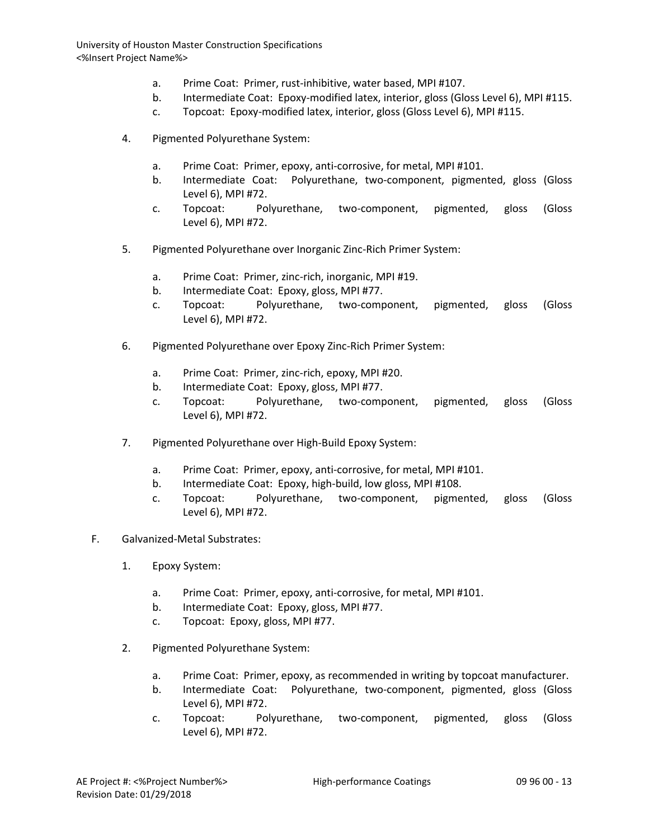- a. Prime Coat: Primer, rust-inhibitive, water based, MPI #107.
- b. Intermediate Coat: Epoxy-modified latex, interior, gloss (Gloss Level 6), MPI #115.
- c. Topcoat: Epoxy-modified latex, interior, gloss (Gloss Level 6), MPI #115.
- 4. Pigmented Polyurethane System:
	- a. Prime Coat: Primer, epoxy, anti-corrosive, for metal, MPI #101.
	- b. Intermediate Coat: Polyurethane, two-component, pigmented, gloss (Gloss Level 6), MPI #72.
	- c. Topcoat: Polyurethane, two-component, pigmented, gloss (Gloss Level 6), MPI #72.
- 5. Pigmented Polyurethane over Inorganic Zinc-Rich Primer System:
	- a. Prime Coat: Primer, zinc-rich, inorganic, MPI #19.
	- b. Intermediate Coat: Epoxy, gloss, MPI #77.
	- c. Topcoat: Polyurethane, two-component, pigmented, gloss (Gloss Level 6), MPI #72.
- 6. Pigmented Polyurethane over Epoxy Zinc-Rich Primer System:
	- a. Prime Coat: Primer, zinc-rich, epoxy, MPI #20.
	- b. Intermediate Coat: Epoxy, gloss, MPI #77.
	- c. Topcoat: Polyurethane, two-component, pigmented, gloss (Gloss Level 6), MPI #72.
- 7. Pigmented Polyurethane over High-Build Epoxy System:
	- a. Prime Coat: Primer, epoxy, anti-corrosive, for metal, MPI #101.
	- b. Intermediate Coat: Epoxy, high-build, low gloss, MPI #108.
	- c. Topcoat: Polyurethane, two-component, pigmented, gloss (Gloss Level 6), MPI #72.
- F. Galvanized-Metal Substrates:
	- 1. Epoxy System:
		- a. Prime Coat: Primer, epoxy, anti-corrosive, for metal, MPI #101.
		- b. Intermediate Coat: Epoxy, gloss, MPI #77.
		- c. Topcoat: Epoxy, gloss, MPI #77.
	- 2. Pigmented Polyurethane System:
		- a. Prime Coat: Primer, epoxy, as recommended in writing by topcoat manufacturer.
		- b. Intermediate Coat: Polyurethane, two-component, pigmented, gloss (Gloss Level 6), MPI #72.
		- c. Topcoat: Polyurethane, two-component, pigmented, gloss (Gloss Level 6), MPI #72.